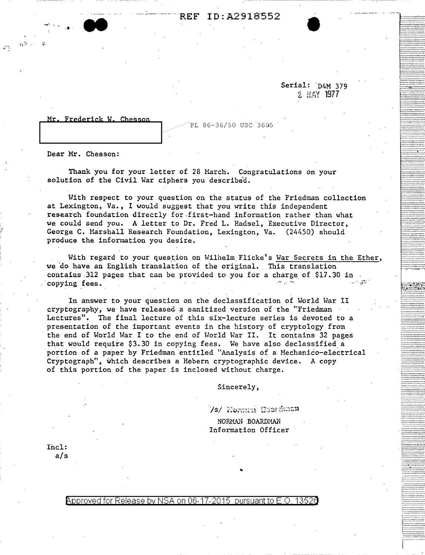## REF ID:A2918552 ID:A2918552 •

Serial: D4M 379 2 MAY 1977

.. -~!;~~~~-

~:::.:::::::::::::~

''''''''''''''''''''''''''''' 1. ············-····· ............... .. j::::::-a::::::::: **L...............** ···-············ ................. ................. ··---············ ---------------<br>-----------------................ ................. 1::::::::::::-::::: ~~~~~~~~~~~~iiii~~

:::::::::::J::::. ................

. ............... . .................

················ . .............. . ................ ................ ················

·-;;}!i;~t~i:~ ::i:~~=~:;:~::~ r::.·.:::::::::::: ~:::::::::::::::: *i::.:* ·. ·::.:: ·:.: ·.:: . ................. 1-----------------.................. ................. .................

................. •··············· ................. ................. : ················ ............... . ·················

................. .................

. ···············-· ; ............... . ................ .................. ~-.-:::::.:·:::::::. ················· ~:::::::::::::::. ................. -···'···········

................ •················ ................ ................ i················ ................. ················ ; ............... .

c;:.~:~~:;.:;;;: 1::::::::::::::·; !::::::::::::::: ................<br>................

## Mr. Frederick W. Chesson

PL 86-36/50 USC 3605

Dear Mr. Chesson:

 $\sim$   $\mu$ 

\_, . . ., .

 $\mid$ 

Thank you for your letter of 28 March. Congratulations on your solution of the Civil War ciphers you described.

With respect to your question on the status of the Friedman collection at Lexington, Va., I would suggest that you write this independent research foundation directly for first-hand information rather than what we. could send you. A letter to Dr. Fred L. Hadsel, Executive Director, George C. Marshall Research Foundation, Lexington, Va. (24450) should produce the information you desire.

With regard to your question on Wilhelm Flicke's War Secrets in the Ether, we do have an English translation of the original. This translation contains 312 pages that can be provided to you for a charge of \$17.30 in copying fees.

In answer to your question on the declassification of World War II cryptography, we have released- a sanitized version of the "Friedman · Lectures". The final lecture of this six-lecture series is devoted to a presentation of the important events in the history of cryptology from the end of World War I to the end of World War II. It contains 32 pages that would require \$3.30 in copying fees. We have also declassified a portion of a paper by Friedman entitled "Analysis of a Mechanico-electrical Cryptograph", which describes a Hebern cryptographic device. A copy of this portion of the paper is inclosed without charge.

Sincerely,

/s/ Hornme Gourdman

NORMAN BOARDMAN Information Officer

'

Incl: a/s

Approved for Release by NSA on 06-17-2015 pursuant to E.O. 1352a